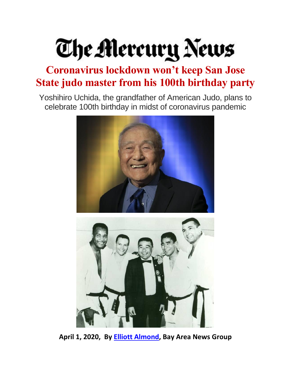## The Mercury News

## **Coronavirus lockdown won't keep San Jose State judo master from his 100th birthday party**

Yoshihiro Uchida, the grandfather of American Judo, plans to celebrate 100th birthday in midst of coronavirus pandemic





**April 1, 2020, By [Elliott Almond,](https://www.mercurynews.com/author/elliott-almond/) Bay Area News Group**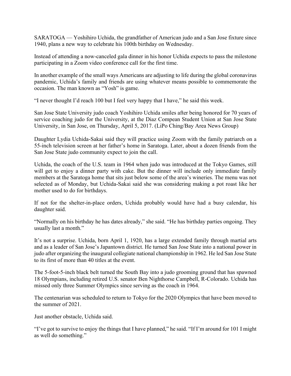SARATOGA — Yoshihiro Uchida, the grandfather of American judo and a San Jose fixture since 1940, plans a new way to celebrate his 100th birthday on Wednesday.

Instead of attending a now-canceled gala dinner in his honor Uchida expects to pass the milestone participating in a Zoom video conference call for the first time.

In another example of the small ways Americans are adjusting to life during the global coronavirus pandemic, Uchida's family and friends are using whatever means possible to commemorate the occasion. The man known as "Yosh" is game.

"I never thought I'd reach 100 but I feel very happy that I have," he said this week.

San Jose State University judo coach Yoshihiro Uchida smiles after being honored for 70 years of service coaching judo for the University, at the Diaz Compean Student Union at San Jose State University, in San Jose, on Thursday, April 5, 2017. (LiPo Ching/Bay Area News Group)

Daughter Lydia Uchida-Sakai said they will practice using Zoom with the family patriarch on a 55-inch television screen at her father's home in Saratoga. Later, about a dozen friends from the San Jose State judo community expect to join the call.

Uchida, the coach of the U.S. team in 1964 when judo was introduced at the Tokyo Games, still will get to enjoy a dinner party with cake. But the dinner will include only immediate family members at the Saratoga home that sits just below some of the area's wineries. The menu was not selected as of Monday, but Uchida-Sakai said she was considering making a pot roast like her mother used to do for birthdays.

If not for the shelter-in-place orders, Uchida probably would have had a busy calendar, his daughter said.

"Normally on his birthday he has dates already," she said. "He has birthday parties ongoing. They usually last a month."

It's not a surprise. Uchida, born April 1, 1920, has a large extended family through martial arts and as a leader of San Jose's Japantown district. He turned San Jose State into a national power in judo after organizing the inaugural collegiate national championship in 1962. He led San Jose State to its first of more than 40 titles at the event.

The 5-foot-5-inch black belt turned the South Bay into a judo grooming ground that has spawned 18 Olympians, including retired U.S. senator Ben Nighthorse Campbell, R-Colorado. Uchida has missed only three Summer Olympics since serving as the coach in 1964.

The centenarian was scheduled to return to Tokyo for the 2020 Olympics that have been moved to the summer of 2021.

Just another obstacle, Uchida said.

"I've got to survive to enjoy the things that I have planned," he said. "If I'm around for 101 I might as well do something."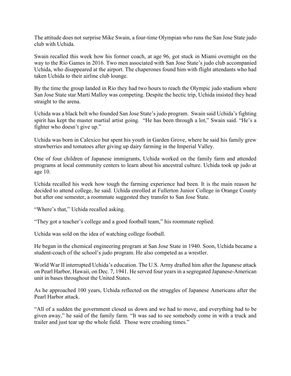The attitude does not surprise Mike Swain, a four-time Olympian who runs the San Jose State judo club with Uchida.

Swain recalled this week how his former coach, at age 96, got stuck in Miami overnight on the way to the Rio Games in 2016. Two men associated with San Jose State's judo club accompanied Uchida, who disappeared at the airport. The chaperones found him with flight attendants who had taken Uchida to their airline club lounge.

By the time the group landed in Rio they had two hours to reach the Olympic judo stadium where San Jose State star Marti Malloy was competing. Despite the hectic trip, Uchida insisted they head straight to the arena.

Uchida was a black belt who founded San Jose State's judo program. Swain said Uchida's fighting spirit has kept the master martial artist going. "He has been through a lot," Swain said. "He's a fighter who doesn't give up."

Uchida was born in Calexico but spent his youth in Garden Grove, where he said his family grew strawberries and tomatoes after giving up dairy farming in the Imperial Valley.

One of four children of Japanese immigrants, Uchida worked on the family farm and attended programs at local community centers to learn about his ancestral culture. Uchida took up judo at age 10.

Uchida recalled his week how tough the farming experience had been. It is the main reason he decided to attend college, he said. Uchida enrolled at Fullerton Junior College in Orange County but after one semester, a roommate suggested they transfer to San Jose State.

"Where's that," Uchida recalled asking.

"They got a teacher's college and a good football team," his roommate replied.

Uchida was sold on the idea of watching college football.

He began in the chemical engineering program at San Jose State in 1940. Soon, Uchida became a student-coach of the school's judo program. He also competed as a wrestler.

World War II interrupted Uchida's education. The U.S. Army drafted him after the Japanese attack on Pearl Harbor, Hawaii, on Dec. 7, 1941. He served four years in a segregated Japanese-American unit in bases throughout the United States.

As he approached 100 years, Uchida reflected on the struggles of Japanese Americans after the Pearl Harbor attack.

"All of a sudden the government closed us down and we had to move, and everything had to be given away," he said of the family farm. "It was sad to see somebody come in with a truck and trailer and just tear up the whole field. Those were crushing times."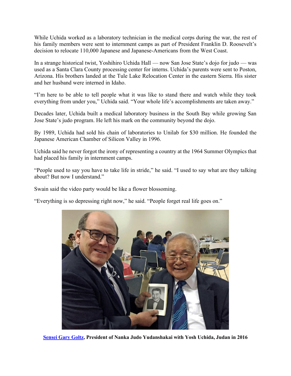While Uchida worked as a laboratory technician in the medical corps during the war, the rest of his family members were sent to internment camps as part of President Franklin D. Roosevelt's decision to relocate 110,000 Japanese and Japanese-Americans from the West Coast.

In a strange historical twist, Yoshihiro Uchida Hall — now San Jose State's dojo for judo — was used as a Santa Clara County processing center for interns. Uchida's parents were sent to Poston, Arizona. His brothers landed at the Tule Lake Relocation Center in the eastern Sierra. His sister and her husband were interned in Idaho.

"I'm here to be able to tell people what it was like to stand there and watch while they took everything from under you," Uchida said. "Your whole life's accomplishments are taken away."

Decades later, Uchida built a medical laboratory business in the South Bay while growing San Jose State's judo program. He left his mark on the community beyond the dojo.

By 1989, Uchida had sold his chain of laboratories to Unilab for \$30 million. He founded the Japanese American Chamber of Silicon Valley in 1996.

Uchida said he never forgot the irony of representing a country at the 1964 Summer Olympics that had placed his family in internment camps.

"People used to say you have to take life in stride," he said. "I used to say what are they talking about? But now I understand."

Swain said the video party would be like a flower blossoming.

"Everything is so depressing right now," he said. "People forget real life goes on."



**[Sensei Gary Goltz,](http://goltzjudo.com/senseigary.html) President of Nanka Judo Yudanshakai with Yosh Uchida, Judan in 2016**